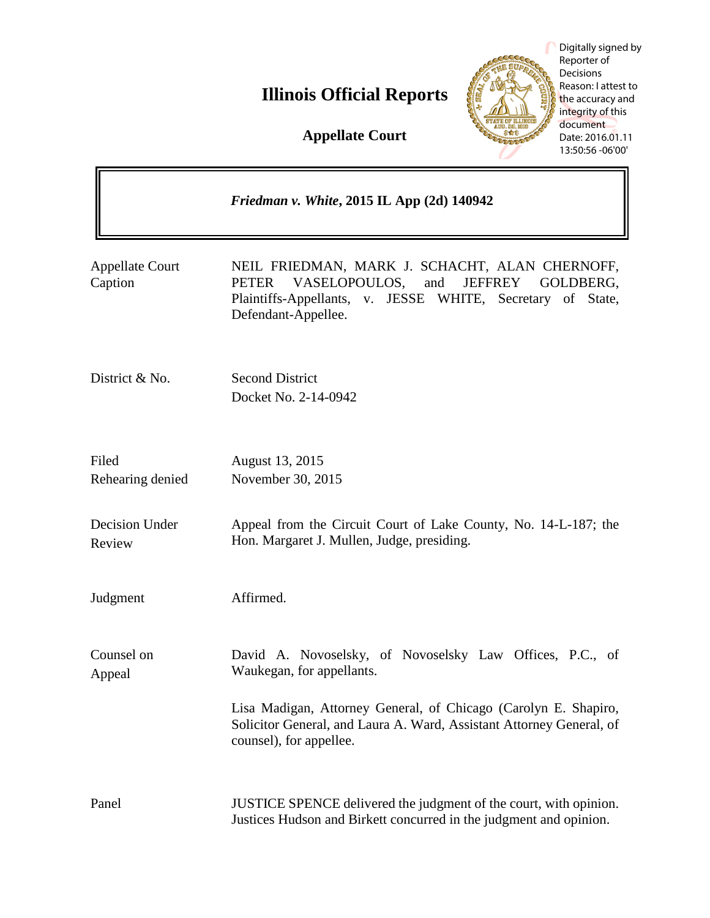# **Illinois Official Reports**

**Appellate Court**

|                                   | Friedman v. White, 2015 IL App (2d) 140942                                                                                                                                                                    |
|-----------------------------------|---------------------------------------------------------------------------------------------------------------------------------------------------------------------------------------------------------------|
| <b>Appellate Court</b><br>Caption | NEIL FRIEDMAN, MARK J. SCHACHT, ALAN CHERNOFF,<br>VASELOPOULOS,<br>and<br><b>JEFFREY</b><br>GOLDBERG,<br><b>PETER</b><br>Plaintiffs-Appellants, v. JESSE WHITE, Secretary<br>of State,<br>Defendant-Appellee. |
| District & No.                    | <b>Second District</b><br>Docket No. 2-14-0942                                                                                                                                                                |
| Filed<br>Rehearing denied         | August 13, 2015<br>November 30, 2015                                                                                                                                                                          |
| Decision Under<br>Review          | Appeal from the Circuit Court of Lake County, No. 14-L-187; the<br>Hon. Margaret J. Mullen, Judge, presiding.                                                                                                 |
| Judgment                          | Affirmed.                                                                                                                                                                                                     |
| Counsel on<br>Appeal              | David A. Novoselsky, of Novoselsky Law Offices, P.C., of<br>Waukegan, for appellants.                                                                                                                         |
|                                   | Lisa Madigan, Attorney General, of Chicago (Carolyn E. Shapiro,<br>Solicitor General, and Laura A. Ward, Assistant Attorney General, of<br>counsel), for appellee.                                            |
| Panel                             | JUSTICE SPENCE delivered the judgment of the court, with opinion.<br>Justices Hudson and Birkett concurred in the judgment and opinion.                                                                       |

Digitally signed by Reporter of Decisions Reason: I attest to the accuracy and integrity of this document Date: 2016.01.11 13:50:56 -06'00'

**RESERVED** 

**Court**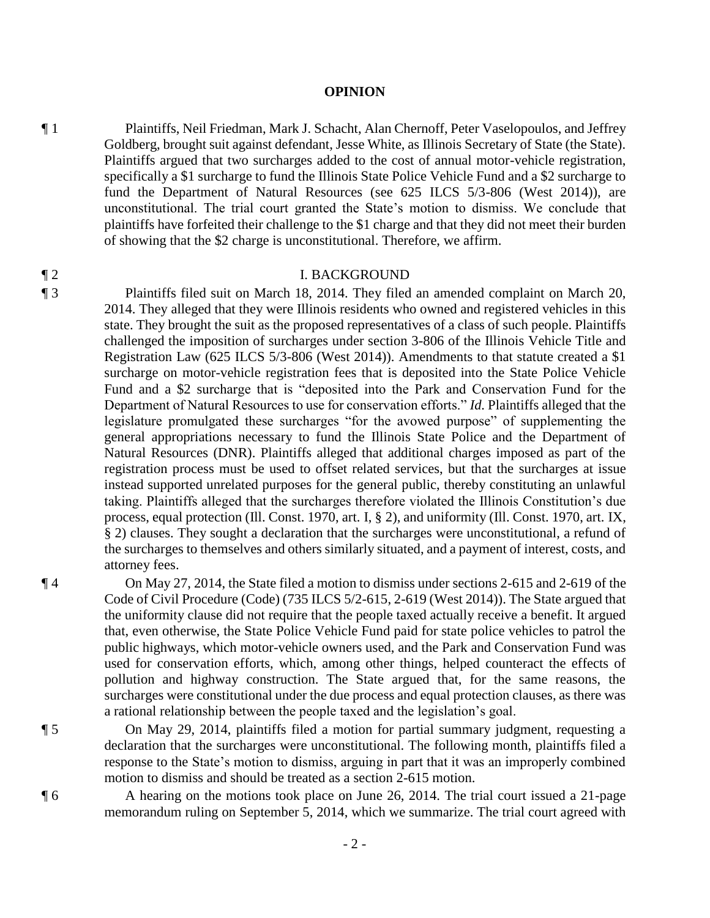### **OPINION**

¶ 1 Plaintiffs, Neil Friedman, Mark J. Schacht, Alan Chernoff, Peter Vaselopoulos, and Jeffrey Goldberg, brought suit against defendant, Jesse White, as Illinois Secretary of State (the State). Plaintiffs argued that two surcharges added to the cost of annual motor-vehicle registration, specifically a \$1 surcharge to fund the Illinois State Police Vehicle Fund and a \$2 surcharge to fund the Department of Natural Resources (see 625 ILCS 5/3-806 (West 2014)), are unconstitutional. The trial court granted the State's motion to dismiss. We conclude that plaintiffs have forfeited their challenge to the \$1 charge and that they did not meet their burden of showing that the \$2 charge is unconstitutional. Therefore, we affirm.

# ¶ 2 I. BACKGROUND

¶ 3 Plaintiffs filed suit on March 18, 2014. They filed an amended complaint on March 20, 2014. They alleged that they were Illinois residents who owned and registered vehicles in this state. They brought the suit as the proposed representatives of a class of such people. Plaintiffs challenged the imposition of surcharges under section 3-806 of the Illinois Vehicle Title and Registration Law (625 ILCS 5/3-806 (West 2014)). Amendments to that statute created a \$1 surcharge on motor-vehicle registration fees that is deposited into the State Police Vehicle Fund and a \$2 surcharge that is "deposited into the Park and Conservation Fund for the Department of Natural Resources to use for conservation efforts." *Id.* Plaintiffs alleged that the legislature promulgated these surcharges "for the avowed purpose" of supplementing the general appropriations necessary to fund the Illinois State Police and the Department of Natural Resources (DNR). Plaintiffs alleged that additional charges imposed as part of the registration process must be used to offset related services, but that the surcharges at issue instead supported unrelated purposes for the general public, thereby constituting an unlawful taking. Plaintiffs alleged that the surcharges therefore violated the Illinois Constitution's due process, equal protection (Ill. Const. 1970, art. I, § 2), and uniformity (Ill. Const. 1970, art. IX, § 2) clauses. They sought a declaration that the surcharges were unconstitutional, a refund of the surcharges to themselves and others similarly situated, and a payment of interest, costs, and attorney fees.

¶ 4 On May 27, 2014, the State filed a motion to dismiss under sections 2-615 and 2-619 of the Code of Civil Procedure (Code) (735 ILCS 5/2-615, 2-619 (West 2014)). The State argued that the uniformity clause did not require that the people taxed actually receive a benefit. It argued that, even otherwise, the State Police Vehicle Fund paid for state police vehicles to patrol the public highways, which motor-vehicle owners used, and the Park and Conservation Fund was used for conservation efforts, which, among other things, helped counteract the effects of pollution and highway construction. The State argued that, for the same reasons, the surcharges were constitutional under the due process and equal protection clauses, as there was a rational relationship between the people taxed and the legislation's goal.

¶ 5 On May 29, 2014, plaintiffs filed a motion for partial summary judgment, requesting a declaration that the surcharges were unconstitutional. The following month, plaintiffs filed a response to the State's motion to dismiss, arguing in part that it was an improperly combined motion to dismiss and should be treated as a section 2-615 motion.

¶ 6 A hearing on the motions took place on June 26, 2014. The trial court issued a 21-page memorandum ruling on September 5, 2014, which we summarize. The trial court agreed with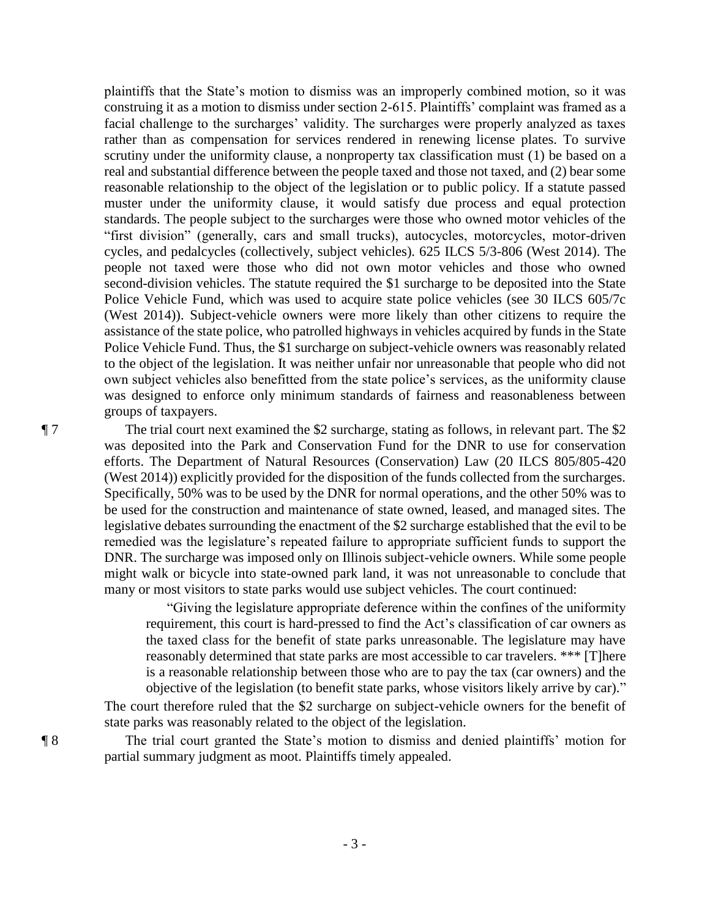plaintiffs that the State's motion to dismiss was an improperly combined motion, so it was construing it as a motion to dismiss under section 2-615. Plaintiffs' complaint was framed as a facial challenge to the surcharges' validity. The surcharges were properly analyzed as taxes rather than as compensation for services rendered in renewing license plates. To survive scrutiny under the uniformity clause, a nonproperty tax classification must (1) be based on a real and substantial difference between the people taxed and those not taxed, and (2) bear some reasonable relationship to the object of the legislation or to public policy. If a statute passed muster under the uniformity clause, it would satisfy due process and equal protection standards. The people subject to the surcharges were those who owned motor vehicles of the "first division" (generally, cars and small trucks), autocycles, motorcycles, motor-driven cycles, and pedalcycles (collectively, subject vehicles). 625 ILCS 5/3-806 (West 2014). The people not taxed were those who did not own motor vehicles and those who owned second-division vehicles. The statute required the \$1 surcharge to be deposited into the State Police Vehicle Fund, which was used to acquire state police vehicles (see 30 ILCS 605/7c (West 2014)). Subject-vehicle owners were more likely than other citizens to require the assistance of the state police, who patrolled highways in vehicles acquired by funds in the State Police Vehicle Fund. Thus, the \$1 surcharge on subject-vehicle owners was reasonably related to the object of the legislation. It was neither unfair nor unreasonable that people who did not own subject vehicles also benefitted from the state police's services, as the uniformity clause was designed to enforce only minimum standards of fairness and reasonableness between groups of taxpayers.

¶ 7 The trial court next examined the \$2 surcharge, stating as follows, in relevant part. The \$2 was deposited into the Park and Conservation Fund for the DNR to use for conservation efforts. The Department of Natural Resources (Conservation) Law (20 ILCS 805/805-420 (West 2014)) explicitly provided for the disposition of the funds collected from the surcharges. Specifically, 50% was to be used by the DNR for normal operations, and the other 50% was to be used for the construction and maintenance of state owned, leased, and managed sites. The legislative debates surrounding the enactment of the \$2 surcharge established that the evil to be remedied was the legislature's repeated failure to appropriate sufficient funds to support the DNR. The surcharge was imposed only on Illinois subject-vehicle owners. While some people might walk or bicycle into state-owned park land, it was not unreasonable to conclude that many or most visitors to state parks would use subject vehicles. The court continued:

> "Giving the legislature appropriate deference within the confines of the uniformity requirement, this court is hard-pressed to find the Act's classification of car owners as the taxed class for the benefit of state parks unreasonable. The legislature may have reasonably determined that state parks are most accessible to car travelers. \*\*\* [T]here is a reasonable relationship between those who are to pay the tax (car owners) and the objective of the legislation (to benefit state parks, whose visitors likely arrive by car)."

The court therefore ruled that the \$2 surcharge on subject-vehicle owners for the benefit of state parks was reasonably related to the object of the legislation.

¶ 8 The trial court granted the State's motion to dismiss and denied plaintiffs' motion for partial summary judgment as moot. Plaintiffs timely appealed.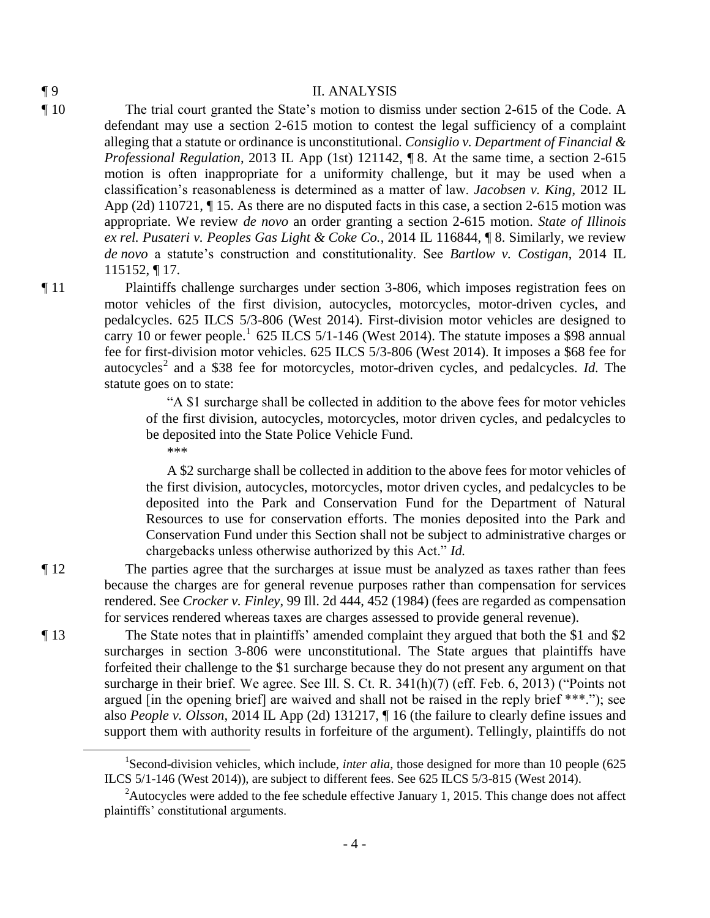### ¶ 9 II. ANALYSIS

- ¶ 10 The trial court granted the State's motion to dismiss under section 2-615 of the Code. A defendant may use a section 2-615 motion to contest the legal sufficiency of a complaint alleging that a statute or ordinance is unconstitutional. *Consiglio v. Department of Financial & Professional Regulation*, 2013 IL App (1st) 121142, ¶ 8. At the same time, a section 2-615 motion is often inappropriate for a uniformity challenge, but it may be used when a classification's reasonableness is determined as a matter of law. *Jacobsen v. King*, 2012 IL App (2d) 110721, ¶ 15. As there are no disputed facts in this case, a section 2-615 motion was appropriate. We review *de novo* an order granting a section 2-615 motion. *State of Illinois ex rel. Pusateri v. Peoples Gas Light & Coke Co.*, 2014 IL 116844, ¶ 8. Similarly, we review *de novo* a statute's construction and constitutionality. See *Bartlow v. Costigan*, 2014 IL 115152, ¶ 17.
- ¶ 11 Plaintiffs challenge surcharges under section 3-806, which imposes registration fees on motor vehicles of the first division, autocycles, motorcycles, motor-driven cycles, and pedalcycles. 625 ILCS 5/3-806 (West 2014). First-division motor vehicles are designed to carry 10 or fewer people.<sup>1</sup> 625 ILCS 5/1-146 (West 2014). The statute imposes a \$98 annual fee for first-division motor vehicles. 625 ILCS 5/3-806 (West 2014). It imposes a \$68 fee for autocycles<sup>2</sup> and a \$38 fee for motorcycles, motor-driven cycles, and pedalcycles. *Id.* The statute goes on to state:

"A \$1 surcharge shall be collected in addition to the above fees for motor vehicles of the first division, autocycles, motorcycles, motor driven cycles, and pedalcycles to be deposited into the State Police Vehicle Fund. \*\*\*

 A \$2 surcharge shall be collected in addition to the above fees for motor vehicles of the first division, autocycles, motorcycles, motor driven cycles, and pedalcycles to be deposited into the Park and Conservation Fund for the Department of Natural Resources to use for conservation efforts. The monies deposited into the Park and Conservation Fund under this Section shall not be subject to administrative charges or chargebacks unless otherwise authorized by this Act." *Id.*

¶ 12 The parties agree that the surcharges at issue must be analyzed as taxes rather than fees because the charges are for general revenue purposes rather than compensation for services rendered. See *Crocker v. Finley*, 99 Ill. 2d 444, 452 (1984) (fees are regarded as compensation for services rendered whereas taxes are charges assessed to provide general revenue).

¶ 13 The State notes that in plaintiffs' amended complaint they argued that both the \$1 and \$2 surcharges in section 3-806 were unconstitutional. The State argues that plaintiffs have forfeited their challenge to the \$1 surcharge because they do not present any argument on that surcharge in their brief. We agree. See Ill. S. Ct. R. 341(h)(7) (eff. Feb. 6, 2013) ("Points not argued [in the opening brief] are waived and shall not be raised in the reply brief \*\*\*."); see also *People v. Olsson*, 2014 IL App (2d) 131217, ¶ 16 (the failure to clearly define issues and support them with authority results in forfeiture of the argument). Tellingly, plaintiffs do not

 $\overline{a}$ 

<sup>&</sup>lt;sup>1</sup>Second-division vehicles, which include, *inter alia*, those designed for more than 10 people (625) ILCS 5/1-146 (West 2014)), are subject to different fees. See 625 ILCS 5/3-815 (West 2014).

<sup>&</sup>lt;sup>2</sup>Autocycles were added to the fee schedule effective January 1, 2015. This change does not affect plaintiffs' constitutional arguments.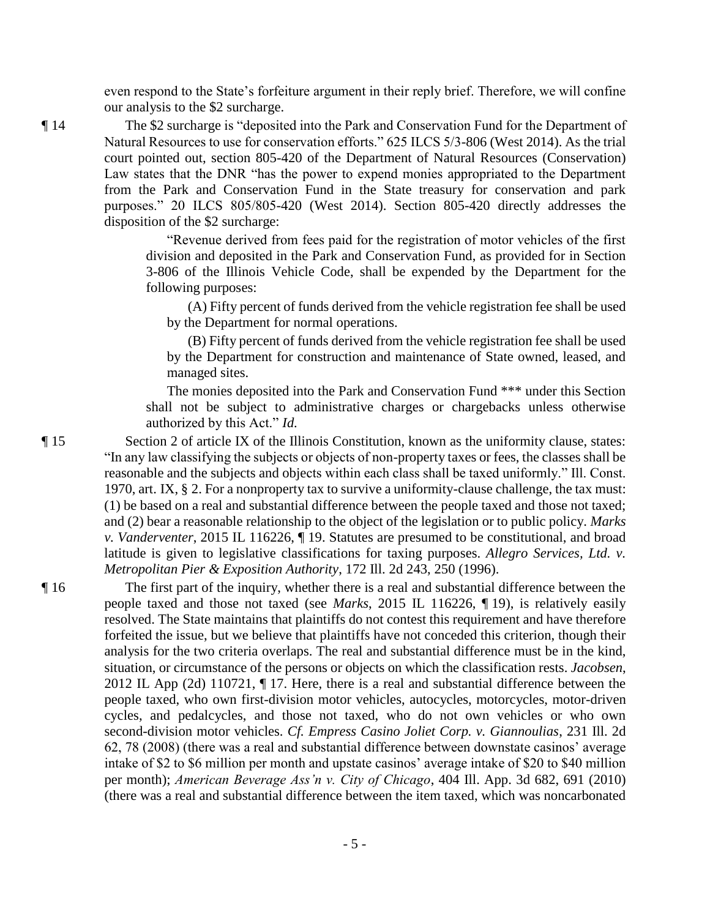even respond to the State's forfeiture argument in their reply brief. Therefore, we will confine our analysis to the \$2 surcharge.

¶ 14 The \$2 surcharge is "deposited into the Park and Conservation Fund for the Department of Natural Resources to use for conservation efforts." 625 ILCS 5/3-806 (West 2014). As the trial court pointed out, section 805-420 of the Department of Natural Resources (Conservation) Law states that the DNR "has the power to expend monies appropriated to the Department from the Park and Conservation Fund in the State treasury for conservation and park purposes." 20 ILCS 805/805-420 (West 2014). Section 805-420 directly addresses the disposition of the \$2 surcharge:

> "Revenue derived from fees paid for the registration of motor vehicles of the first division and deposited in the Park and Conservation Fund, as provided for in Section 3-806 of the Illinois Vehicle Code, shall be expended by the Department for the following purposes:

 (A) Fifty percent of funds derived from the vehicle registration fee shall be used by the Department for normal operations.

 (B) Fifty percent of funds derived from the vehicle registration fee shall be used by the Department for construction and maintenance of State owned, leased, and managed sites.

 The monies deposited into the Park and Conservation Fund \*\*\* under this Section shall not be subject to administrative charges or chargebacks unless otherwise authorized by this Act." *Id.*

¶ 15 Section 2 of article IX of the Illinois Constitution, known as the uniformity clause, states: "In any law classifying the subjects or objects of non-property taxes or fees, the classes shall be reasonable and the subjects and objects within each class shall be taxed uniformly." Ill. Const. 1970, art. IX, § 2. For a nonproperty tax to survive a uniformity-clause challenge, the tax must: (1) be based on a real and substantial difference between the people taxed and those not taxed; and (2) bear a reasonable relationship to the object of the legislation or to public policy. *Marks v. Vanderventer*, 2015 IL 116226, ¶ 19. Statutes are presumed to be constitutional, and broad latitude is given to legislative classifications for taxing purposes. *Allegro Services, Ltd. v. Metropolitan Pier & Exposition Authority*, 172 Ill. 2d 243, 250 (1996).

¶ 16 The first part of the inquiry, whether there is a real and substantial difference between the people taxed and those not taxed (see *Marks*, 2015 IL 116226, ¶ 19), is relatively easily resolved. The State maintains that plaintiffs do not contest this requirement and have therefore forfeited the issue, but we believe that plaintiffs have not conceded this criterion, though their analysis for the two criteria overlaps. The real and substantial difference must be in the kind, situation, or circumstance of the persons or objects on which the classification rests. *Jacobsen*, 2012 IL App (2d) 110721, ¶ 17. Here, there is a real and substantial difference between the people taxed, who own first-division motor vehicles, autocycles, motorcycles, motor-driven cycles, and pedalcycles, and those not taxed, who do not own vehicles or who own second-division motor vehicles. *Cf. Empress Casino Joliet Corp. v. Giannoulias*, 231 Ill. 2d 62, 78 (2008) (there was a real and substantial difference between downstate casinos' average intake of \$2 to \$6 million per month and upstate casinos' average intake of \$20 to \$40 million per month); *American Beverage Ass'n v. City of Chicago*, 404 Ill. App. 3d 682, 691 (2010) (there was a real and substantial difference between the item taxed, which was noncarbonated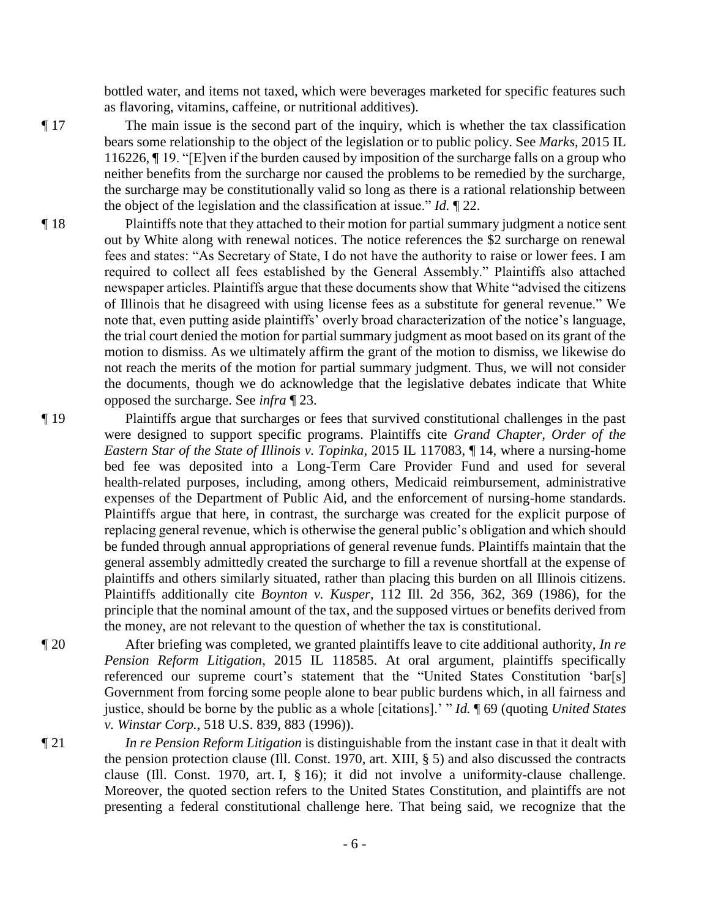bottled water, and items not taxed, which were beverages marketed for specific features such as flavoring, vitamins, caffeine, or nutritional additives).

- ¶ 17 The main issue is the second part of the inquiry, which is whether the tax classification bears some relationship to the object of the legislation or to public policy. See *Marks*, 2015 IL 116226, ¶ 19. "[E]ven if the burden caused by imposition of the surcharge falls on a group who neither benefits from the surcharge nor caused the problems to be remedied by the surcharge, the surcharge may be constitutionally valid so long as there is a rational relationship between the object of the legislation and the classification at issue." *Id.* ¶ 22.
- ¶ 18 Plaintiffs note that they attached to their motion for partial summary judgment a notice sent out by White along with renewal notices. The notice references the \$2 surcharge on renewal fees and states: "As Secretary of State, I do not have the authority to raise or lower fees. I am required to collect all fees established by the General Assembly." Plaintiffs also attached newspaper articles. Plaintiffs argue that these documents show that White "advised the citizens of Illinois that he disagreed with using license fees as a substitute for general revenue." We note that, even putting aside plaintiffs' overly broad characterization of the notice's language, the trial court denied the motion for partial summary judgment as moot based on its grant of the motion to dismiss. As we ultimately affirm the grant of the motion to dismiss, we likewise do not reach the merits of the motion for partial summary judgment. Thus, we will not consider the documents, though we do acknowledge that the legislative debates indicate that White opposed the surcharge. See *infra* ¶ 23.
- ¶ 19 Plaintiffs argue that surcharges or fees that survived constitutional challenges in the past were designed to support specific programs. Plaintiffs cite *Grand Chapter, Order of the Eastern Star of the State of Illinois v. Topinka*, 2015 IL 117083, ¶ 14, where a nursing-home bed fee was deposited into a Long-Term Care Provider Fund and used for several health-related purposes, including, among others, Medicaid reimbursement, administrative expenses of the Department of Public Aid, and the enforcement of nursing-home standards. Plaintiffs argue that here, in contrast, the surcharge was created for the explicit purpose of replacing general revenue, which is otherwise the general public's obligation and which should be funded through annual appropriations of general revenue funds. Plaintiffs maintain that the general assembly admittedly created the surcharge to fill a revenue shortfall at the expense of plaintiffs and others similarly situated, rather than placing this burden on all Illinois citizens. Plaintiffs additionally cite *Boynton v. Kusper*, 112 Ill. 2d 356, 362, 369 (1986), for the principle that the nominal amount of the tax, and the supposed virtues or benefits derived from the money, are not relevant to the question of whether the tax is constitutional.
- ¶ 20 After briefing was completed, we granted plaintiffs leave to cite additional authority, *In re Pension Reform Litigation*, 2015 IL 118585. At oral argument, plaintiffs specifically referenced our supreme court's statement that the "United States Constitution 'bar[s] Government from forcing some people alone to bear public burdens which, in all fairness and justice, should be borne by the public as a whole [citations].' " *Id.* ¶ 69 (quoting *United States v. Winstar Corp.*, 518 U.S. 839, 883 (1996)).
- ¶ 21 *In re Pension Reform Litigation* is distinguishable from the instant case in that it dealt with the pension protection clause (Ill. Const. 1970, art. XIII, § 5) and also discussed the contracts clause (Ill. Const. 1970, art. I, § 16); it did not involve a uniformity-clause challenge. Moreover, the quoted section refers to the United States Constitution, and plaintiffs are not presenting a federal constitutional challenge here. That being said, we recognize that the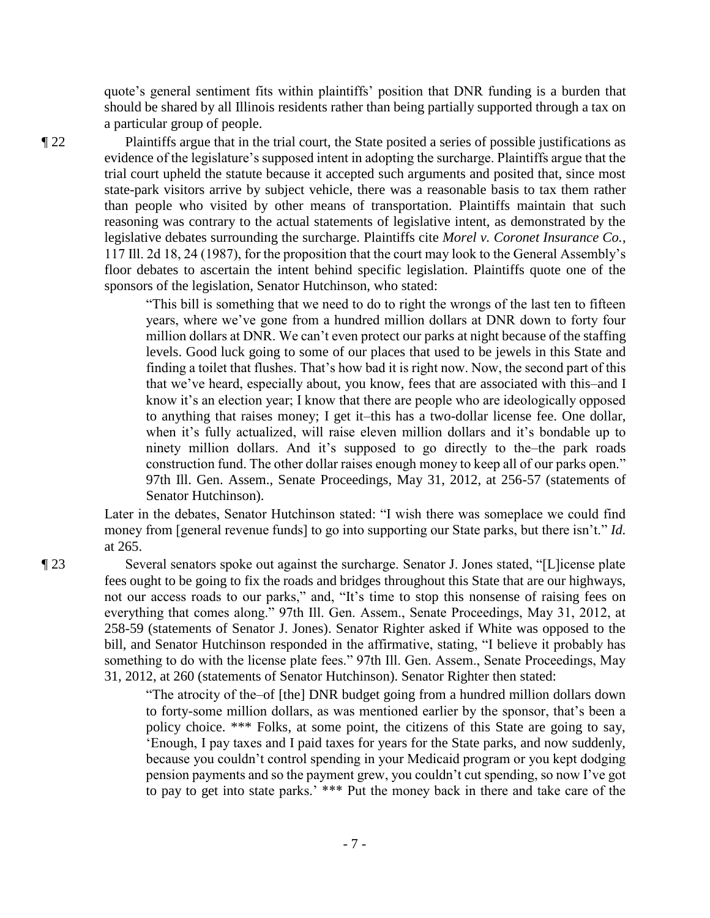quote's general sentiment fits within plaintiffs' position that DNR funding is a burden that should be shared by all Illinois residents rather than being partially supported through a tax on a particular group of people.

¶ 22 Plaintiffs argue that in the trial court, the State posited a series of possible justifications as evidence of the legislature's supposed intent in adopting the surcharge. Plaintiffs argue that the trial court upheld the statute because it accepted such arguments and posited that, since most state-park visitors arrive by subject vehicle, there was a reasonable basis to tax them rather than people who visited by other means of transportation. Plaintiffs maintain that such reasoning was contrary to the actual statements of legislative intent, as demonstrated by the legislative debates surrounding the surcharge. Plaintiffs cite *Morel v. Coronet Insurance Co.*, 117 Ill. 2d 18, 24 (1987), for the proposition that the court may look to the General Assembly's floor debates to ascertain the intent behind specific legislation. Plaintiffs quote one of the sponsors of the legislation, Senator Hutchinson, who stated:

> "This bill is something that we need to do to right the wrongs of the last ten to fifteen years, where we've gone from a hundred million dollars at DNR down to forty four million dollars at DNR. We can't even protect our parks at night because of the staffing levels. Good luck going to some of our places that used to be jewels in this State and finding a toilet that flushes. That's how bad it is right now. Now, the second part of this that we've heard, especially about, you know, fees that are associated with this–and I know it's an election year; I know that there are people who are ideologically opposed to anything that raises money; I get it–this has a two-dollar license fee. One dollar, when it's fully actualized, will raise eleven million dollars and it's bondable up to ninety million dollars. And it's supposed to go directly to the–the park roads construction fund. The other dollar raises enough money to keep all of our parks open." 97th Ill. Gen. Assem., Senate Proceedings, May 31, 2012, at 256-57 (statements of Senator Hutchinson).

Later in the debates, Senator Hutchinson stated: "I wish there was someplace we could find money from [general revenue funds] to go into supporting our State parks, but there isn't." *Id.* at 265.

¶ 23 Several senators spoke out against the surcharge. Senator J. Jones stated, "[L]icense plate fees ought to be going to fix the roads and bridges throughout this State that are our highways, not our access roads to our parks," and, "It's time to stop this nonsense of raising fees on everything that comes along." 97th Ill. Gen. Assem., Senate Proceedings, May 31, 2012, at 258-59 (statements of Senator J. Jones). Senator Righter asked if White was opposed to the bill, and Senator Hutchinson responded in the affirmative, stating, "I believe it probably has something to do with the license plate fees." 97th Ill. Gen. Assem., Senate Proceedings, May 31, 2012, at 260 (statements of Senator Hutchinson). Senator Righter then stated:

> "The atrocity of the–of [the] DNR budget going from a hundred million dollars down to forty-some million dollars, as was mentioned earlier by the sponsor, that's been a policy choice. \*\*\* Folks, at some point, the citizens of this State are going to say, 'Enough, I pay taxes and I paid taxes for years for the State parks, and now suddenly, because you couldn't control spending in your Medicaid program or you kept dodging pension payments and so the payment grew, you couldn't cut spending, so now I've got to pay to get into state parks.' \*\*\* Put the money back in there and take care of the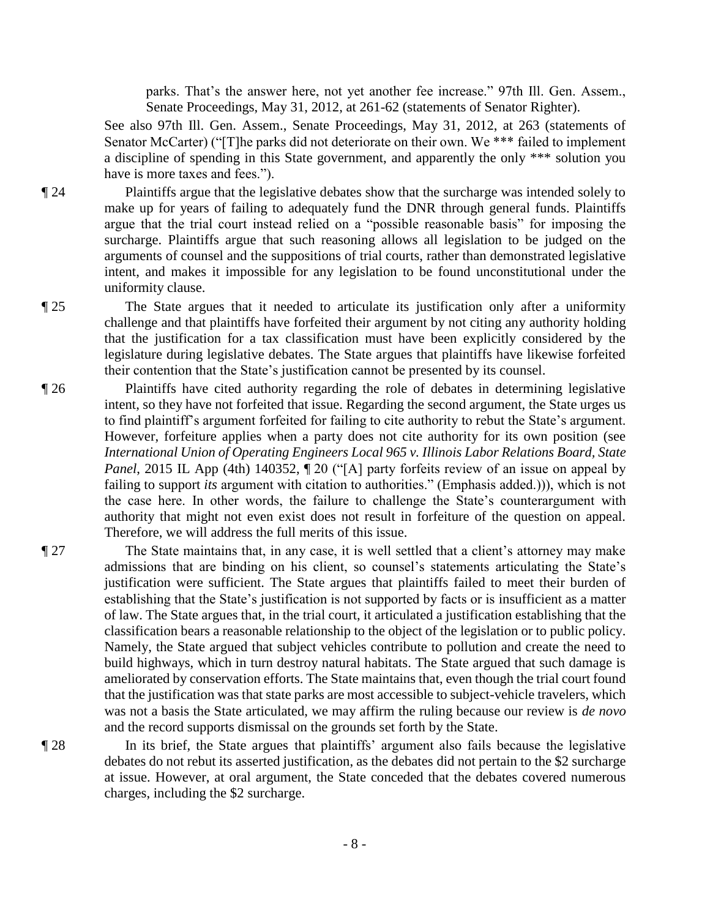parks. That's the answer here, not yet another fee increase." 97th Ill. Gen. Assem., Senate Proceedings, May 31, 2012, at 261-62 (statements of Senator Righter).

See also 97th Ill. Gen. Assem., Senate Proceedings, May 31, 2012, at 263 (statements of Senator McCarter) ("[T]he parks did not deteriorate on their own. We \*\*\* failed to implement a discipline of spending in this State government, and apparently the only \*\*\* solution you have is more taxes and fees.").

¶ 24 Plaintiffs argue that the legislative debates show that the surcharge was intended solely to make up for years of failing to adequately fund the DNR through general funds. Plaintiffs argue that the trial court instead relied on a "possible reasonable basis" for imposing the surcharge. Plaintiffs argue that such reasoning allows all legislation to be judged on the arguments of counsel and the suppositions of trial courts, rather than demonstrated legislative intent, and makes it impossible for any legislation to be found unconstitutional under the uniformity clause.

¶ 25 The State argues that it needed to articulate its justification only after a uniformity challenge and that plaintiffs have forfeited their argument by not citing any authority holding that the justification for a tax classification must have been explicitly considered by the legislature during legislative debates. The State argues that plaintiffs have likewise forfeited their contention that the State's justification cannot be presented by its counsel.

- ¶ 26 Plaintiffs have cited authority regarding the role of debates in determining legislative intent, so they have not forfeited that issue. Regarding the second argument, the State urges us to find plaintiff's argument forfeited for failing to cite authority to rebut the State's argument. However, forfeiture applies when a party does not cite authority for its own position (see *International Union of Operating Engineers Local 965 v. Illinois Labor Relations Board, State Panel*, 2015 IL App (4th) 140352,  $\P$  20 ("[A] party forfeits review of an issue on appeal by failing to support *its* argument with citation to authorities." (Emphasis added.))), which is not the case here. In other words, the failure to challenge the State's counterargument with authority that might not even exist does not result in forfeiture of the question on appeal. Therefore, we will address the full merits of this issue.
- ¶ 27 The State maintains that, in any case, it is well settled that a client's attorney may make admissions that are binding on his client, so counsel's statements articulating the State's justification were sufficient. The State argues that plaintiffs failed to meet their burden of establishing that the State's justification is not supported by facts or is insufficient as a matter of law. The State argues that, in the trial court, it articulated a justification establishing that the classification bears a reasonable relationship to the object of the legislation or to public policy. Namely, the State argued that subject vehicles contribute to pollution and create the need to build highways, which in turn destroy natural habitats. The State argued that such damage is ameliorated by conservation efforts. The State maintains that, even though the trial court found that the justification was that state parks are most accessible to subject-vehicle travelers, which was not a basis the State articulated, we may affirm the ruling because our review is *de novo* and the record supports dismissal on the grounds set forth by the State.

¶ 28 In its brief, the State argues that plaintiffs' argument also fails because the legislative debates do not rebut its asserted justification, as the debates did not pertain to the \$2 surcharge at issue. However, at oral argument, the State conceded that the debates covered numerous charges, including the \$2 surcharge.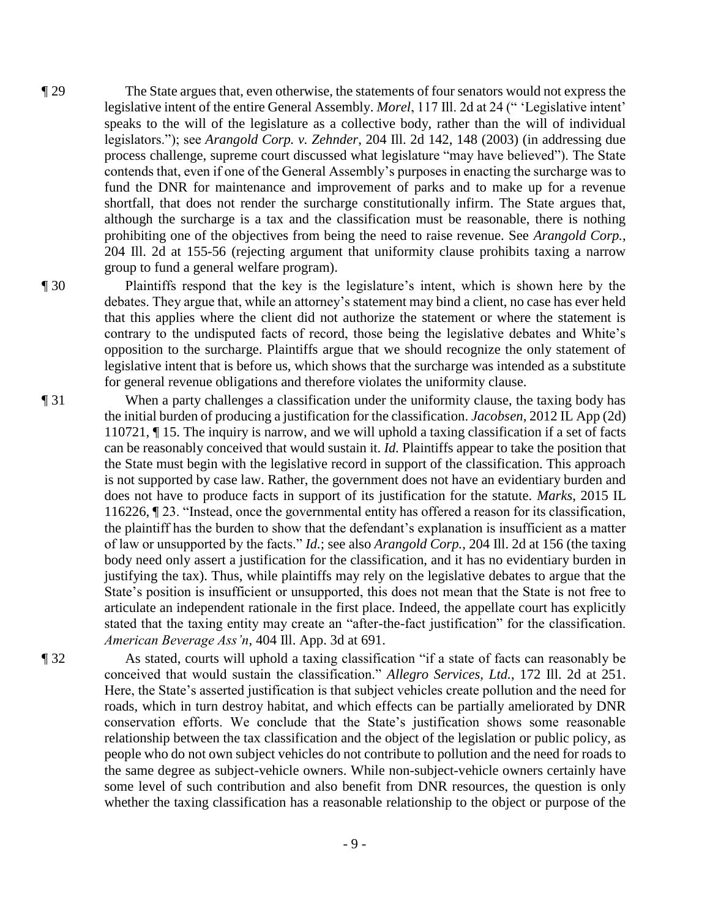¶ 29 The State argues that, even otherwise, the statements of four senators would not express the legislative intent of the entire General Assembly. *Morel*, 117 Ill. 2d at 24 (" 'Legislative intent' speaks to the will of the legislature as a collective body, rather than the will of individual legislators."); see *Arangold Corp. v. Zehnder*, 204 Ill. 2d 142, 148 (2003) (in addressing due process challenge, supreme court discussed what legislature "may have believed"). The State contends that, even if one of the General Assembly's purposes in enacting the surcharge was to fund the DNR for maintenance and improvement of parks and to make up for a revenue shortfall, that does not render the surcharge constitutionally infirm. The State argues that, although the surcharge is a tax and the classification must be reasonable, there is nothing prohibiting one of the objectives from being the need to raise revenue. See *Arangold Corp.*, 204 Ill. 2d at 155-56 (rejecting argument that uniformity clause prohibits taxing a narrow group to fund a general welfare program).

¶ 30 Plaintiffs respond that the key is the legislature's intent, which is shown here by the debates. They argue that, while an attorney's statement may bind a client, no case has ever held that this applies where the client did not authorize the statement or where the statement is contrary to the undisputed facts of record, those being the legislative debates and White's opposition to the surcharge. Plaintiffs argue that we should recognize the only statement of legislative intent that is before us, which shows that the surcharge was intended as a substitute for general revenue obligations and therefore violates the uniformity clause.

- ¶ 31 When a party challenges a classification under the uniformity clause, the taxing body has the initial burden of producing a justification for the classification. *Jacobsen*, 2012 IL App (2d) 110721, ¶ 15. The inquiry is narrow, and we will uphold a taxing classification if a set of facts can be reasonably conceived that would sustain it. *Id.* Plaintiffs appear to take the position that the State must begin with the legislative record in support of the classification. This approach is not supported by case law. Rather, the government does not have an evidentiary burden and does not have to produce facts in support of its justification for the statute. *Marks*, 2015 IL 116226, ¶ 23. "Instead, once the governmental entity has offered a reason for its classification, the plaintiff has the burden to show that the defendant's explanation is insufficient as a matter of law or unsupported by the facts." *Id.*; see also *Arangold Corp.*, 204 Ill. 2d at 156 (the taxing body need only assert a justification for the classification, and it has no evidentiary burden in justifying the tax). Thus, while plaintiffs may rely on the legislative debates to argue that the State's position is insufficient or unsupported, this does not mean that the State is not free to articulate an independent rationale in the first place. Indeed, the appellate court has explicitly stated that the taxing entity may create an "after-the-fact justification" for the classification. *American Beverage Ass'n*, 404 Ill. App. 3d at 691.
- ¶ 32 As stated, courts will uphold a taxing classification "if a state of facts can reasonably be conceived that would sustain the classification." *Allegro Services, Ltd.*, 172 Ill. 2d at 251. Here, the State's asserted justification is that subject vehicles create pollution and the need for roads, which in turn destroy habitat, and which effects can be partially ameliorated by DNR conservation efforts. We conclude that the State's justification shows some reasonable relationship between the tax classification and the object of the legislation or public policy, as people who do not own subject vehicles do not contribute to pollution and the need for roads to the same degree as subject-vehicle owners. While non-subject-vehicle owners certainly have some level of such contribution and also benefit from DNR resources, the question is only whether the taxing classification has a reasonable relationship to the object or purpose of the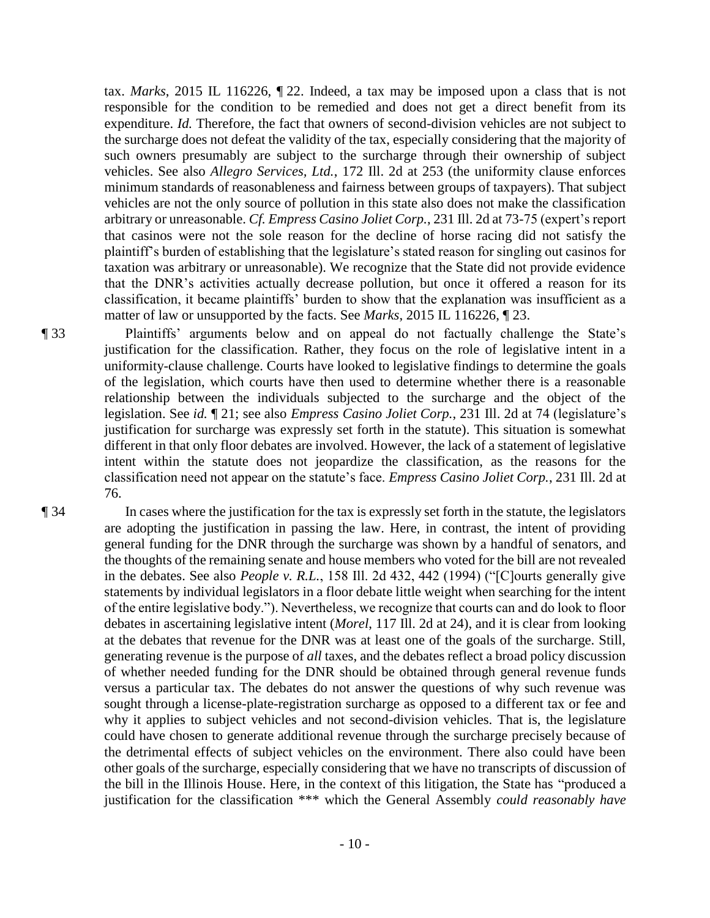tax. *Marks*, 2015 IL 116226, ¶ 22. Indeed, a tax may be imposed upon a class that is not responsible for the condition to be remedied and does not get a direct benefit from its expenditure. *Id.* Therefore, the fact that owners of second-division vehicles are not subject to the surcharge does not defeat the validity of the tax, especially considering that the majority of such owners presumably are subject to the surcharge through their ownership of subject vehicles. See also *Allegro Services, Ltd.*, 172 Ill. 2d at 253 (the uniformity clause enforces minimum standards of reasonableness and fairness between groups of taxpayers). That subject vehicles are not the only source of pollution in this state also does not make the classification arbitrary or unreasonable. *Cf. Empress Casino Joliet Corp.*, 231 Ill. 2d at 73-75 (expert's report that casinos were not the sole reason for the decline of horse racing did not satisfy the plaintiff's burden of establishing that the legislature's stated reason for singling out casinos for taxation was arbitrary or unreasonable). We recognize that the State did not provide evidence that the DNR's activities actually decrease pollution, but once it offered a reason for its classification, it became plaintiffs' burden to show that the explanation was insufficient as a matter of law or unsupported by the facts. See *Marks*, 2015 IL 116226, ¶ 23.

¶ 33 Plaintiffs' arguments below and on appeal do not factually challenge the State's justification for the classification. Rather, they focus on the role of legislative intent in a uniformity-clause challenge. Courts have looked to legislative findings to determine the goals of the legislation, which courts have then used to determine whether there is a reasonable relationship between the individuals subjected to the surcharge and the object of the legislation. See *id.* ¶ 21; see also *Empress Casino Joliet Corp.*, 231 Ill. 2d at 74 (legislature's justification for surcharge was expressly set forth in the statute). This situation is somewhat different in that only floor debates are involved. However, the lack of a statement of legislative intent within the statute does not jeopardize the classification, as the reasons for the classification need not appear on the statute's face. *Empress Casino Joliet Corp.*, 231 Ill. 2d at 76.

¶ 34 In cases where the justification for the tax is expressly set forth in the statute, the legislators are adopting the justification in passing the law. Here, in contrast, the intent of providing general funding for the DNR through the surcharge was shown by a handful of senators, and the thoughts of the remaining senate and house members who voted for the bill are not revealed in the debates. See also *People v. R.L.*, 158 Ill. 2d 432, 442 (1994) ("[C]ourts generally give statements by individual legislators in a floor debate little weight when searching for the intent of the entire legislative body."). Nevertheless, we recognize that courts can and do look to floor debates in ascertaining legislative intent (*Morel*, 117 Ill. 2d at 24), and it is clear from looking at the debates that revenue for the DNR was at least one of the goals of the surcharge. Still, generating revenue is the purpose of *all* taxes, and the debates reflect a broad policy discussion of whether needed funding for the DNR should be obtained through general revenue funds versus a particular tax. The debates do not answer the questions of why such revenue was sought through a license-plate-registration surcharge as opposed to a different tax or fee and why it applies to subject vehicles and not second-division vehicles. That is, the legislature could have chosen to generate additional revenue through the surcharge precisely because of the detrimental effects of subject vehicles on the environment. There also could have been other goals of the surcharge, especially considering that we have no transcripts of discussion of the bill in the Illinois House. Here, in the context of this litigation, the State has "produced a justification for the classification \*\*\* which the General Assembly *could reasonably have*